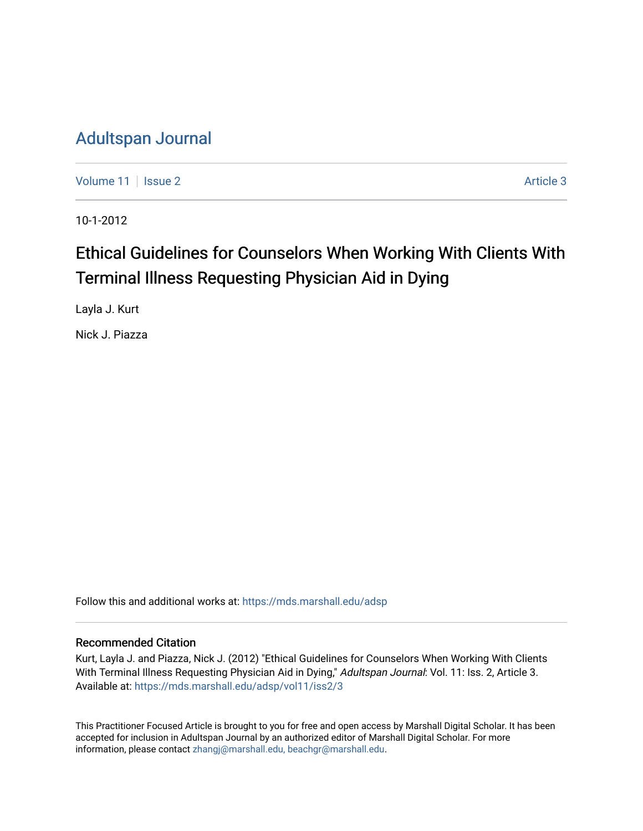### [Adultspan Journal](https://mds.marshall.edu/adsp)

[Volume 11](https://mds.marshall.edu/adsp/vol11) | [Issue 2](https://mds.marshall.edu/adsp/vol11/iss2) Article 3

10-1-2012

## Ethical Guidelines for Counselors When Working With Clients With Terminal Illness Requesting Physician Aid in Dying

Layla J. Kurt

Nick J. Piazza

Follow this and additional works at: [https://mds.marshall.edu/adsp](https://mds.marshall.edu/adsp?utm_source=mds.marshall.edu%2Fadsp%2Fvol11%2Fiss2%2F3&utm_medium=PDF&utm_campaign=PDFCoverPages) 

#### Recommended Citation

Kurt, Layla J. and Piazza, Nick J. (2012) "Ethical Guidelines for Counselors When Working With Clients With Terminal Illness Requesting Physician Aid in Dying," Adultspan Journal: Vol. 11: Iss. 2, Article 3. Available at: [https://mds.marshall.edu/adsp/vol11/iss2/3](https://mds.marshall.edu/adsp/vol11/iss2/3?utm_source=mds.marshall.edu%2Fadsp%2Fvol11%2Fiss2%2F3&utm_medium=PDF&utm_campaign=PDFCoverPages) 

This Practitioner Focused Article is brought to you for free and open access by Marshall Digital Scholar. It has been accepted for inclusion in Adultspan Journal by an authorized editor of Marshall Digital Scholar. For more information, please contact [zhangj@marshall.edu, beachgr@marshall.edu](mailto:zhangj@marshall.edu,%20beachgr@marshall.edu).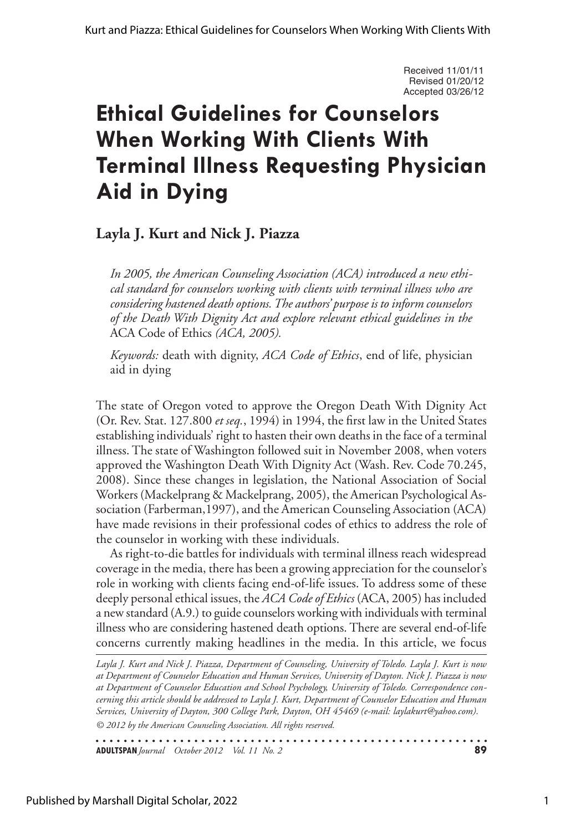Received 11/01/11 Revised 01/20/12 Accepted 03/26/12

# **Ethical Guidelines for Counselors When Working With Clients With Terminal Illness Requesting Physician Aid in Dying**

### **Layla J. Kurt and Nick J. Piazza**

*In 2005, the American Counseling Association (ACA) introduced a new ethical standard for counselors working with clients with terminal illness who are considering hastened death options. The authors' purpose is to inform counselors of the Death With Dignity Act and explore relevant ethical guidelines in the*  ACA Code of Ethics *(ACA, 2005).* 

*Keywords:* death with dignity, *ACA Code of Ethics*, end of life, physician aid in dying

The state of Oregon voted to approve the Oregon Death With Dignity Act (Or. Rev. Stat. 127.800 *et seq.*, 1994) in 1994, the first law in the United States establishing individuals' right to hasten their own deaths in the face of a terminal illness. The state of Washington followed suit in November 2008, when voters approved the Washington Death With Dignity Act (Wash. Rev. Code 70.245, 2008). Since these changes in legislation, the National Association of Social Workers (Mackelprang & Mackelprang, 2005), the American Psychological Association (Farberman,1997), and the American Counseling Association (ACA) have made revisions in their professional codes of ethics to address the role of the counselor in working with these individuals.

As right-to-die battles for individuals with terminal illness reach widespread coverage in the media, there has been a growing appreciation for the counselor's role in working with clients facing end-of-life issues. To address some of these deeply personal ethical issues, the *ACA Code of Ethics* (ACA, 2005) has included a new standard (A.9.) to guide counselors working with individuals with terminal illness who are considering hastened death options. There are several end-of-life concerns currently making headlines in the media. In this article, we focus

*© 2012 by the American Counseling Association. All rights reserved. Layla J. Kurt and Nick J. Piazza, Department of Counseling, University of Toledo. Layla J. Kurt is now at Department of Counselor Education and Human Services, University of Dayton. Nick J. Piazza is now at Department of Counselor Education and School Psychology, University of Toledo. Correspondence concerning this article should be addressed to Layla J. Kurt, Department of Counselor Education and Human Services, University of Dayton, 300 College Park, Dayton, OH 45469 (e-mail: laylakurt@yahoo.com).*

**ADULTSPAN***Journal October 2012 Vol. 11 No. 2* **89**

Published by Marshall Digital Scholar, 2022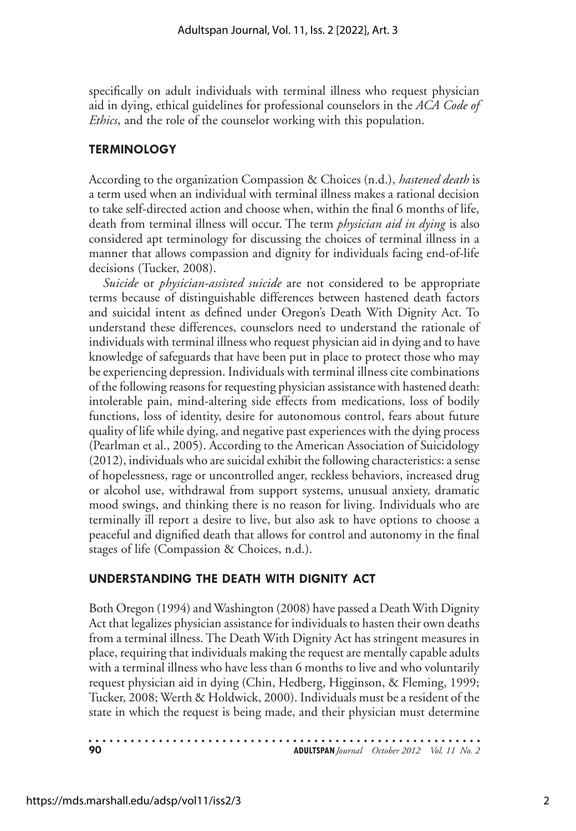specifically on adult individuals with terminal illness who request physician aid in dying, ethical guidelines for professional counselors in the *ACA Code of Ethics*, and the role of the counselor working with this population.

#### **Terminology**

According to the organization Compassion & Choices (n.d.), *hastened death* is a term used when an individual with terminal illness makes a rational decision to take self-directed action and choose when, within the final 6 months of life, death from terminal illness will occur. The term *physician aid in dying* is also considered apt terminology for discussing the choices of terminal illness in a manner that allows compassion and dignity for individuals facing end-of-life decisions (Tucker, 2008).

*Suicide* or *physician-assisted suicide* are not considered to be appropriate terms because of distinguishable differences between hastened death factors and suicidal intent as defined under Oregon's Death With Dignity Act. To understand these differences, counselors need to understand the rationale of individuals with terminal illness who request physician aid in dying and to have knowledge of safeguards that have been put in place to protect those who may be experiencing depression. Individuals with terminal illness cite combinations of the following reasons for requesting physician assistance with hastened death: intolerable pain, mind-altering side effects from medications, loss of bodily functions, loss of identity, desire for autonomous control, fears about future quality of life while dying, and negative past experiences with the dying process (Pearlman et al., 2005). According to the American Association of Suicidology (2012), individuals who are suicidal exhibit the following characteristics: a sense of hopelessness, rage or uncontrolled anger, reckless behaviors, increased drug or alcohol use, withdrawal from support systems, unusual anxiety, dramatic mood swings, and thinking there is no reason for living. Individuals who are terminally ill report a desire to live, but also ask to have options to choose a peaceful and dignified death that allows for control and autonomy in the final stages of life (Compassion & Choices, n.d.).

#### **Understanding the Death With Dignity Act**

Both Oregon (1994) and Washington (2008) have passed a Death With Dignity Act that legalizes physician assistance for individuals to hasten their own deaths from a terminal illness. The Death With Dignity Act has stringent measures in place, requiring that individuals making the request are mentally capable adults with a terminal illness who have less than 6 months to live and who voluntarily request physician aid in dying (Chin, Hedberg, Higginson, & Fleming, 1999; Tucker, 2008; Werth & Holdwick, 2000). Individuals must be a resident of the state in which the request is being made, and their physician must determine

**90 ADULTSPAN***Journal October 2012 Vol. 11 No. 2*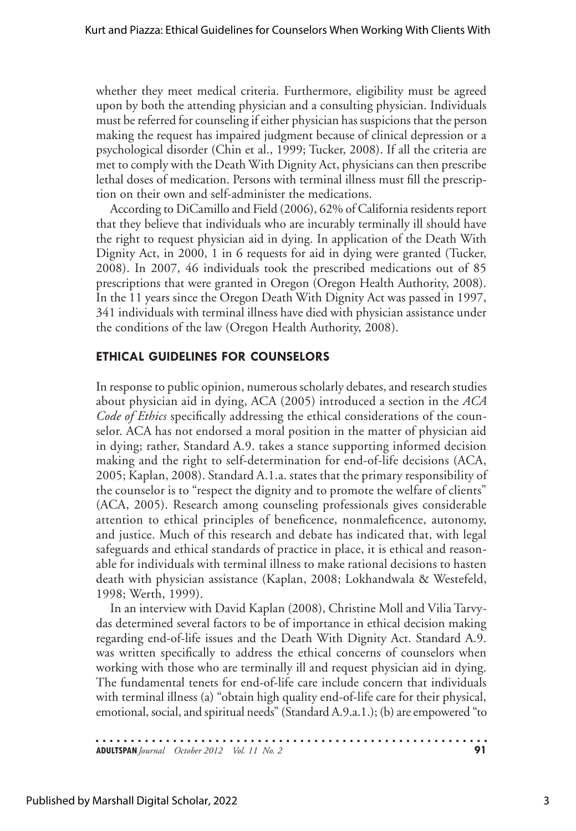whether they meet medical criteria. Furthermore, eligibility must be agreed upon by both the attending physician and a consulting physician. Individuals must be referred for counseling if either physician has suspicions that the person making the request has impaired judgment because of clinical depression or a psychological disorder (Chin et al., 1999; Tucker, 2008). If all the criteria are met to comply with the Death With Dignity Act, physicians can then prescribe lethal doses of medication. Persons with terminal illness must fill the prescription on their own and self-administer the medications.

According to DiCamillo and Field (2006), 62% of California residents report that they believe that individuals who are incurably terminally ill should have the right to request physician aid in dying. In application of the Death With Dignity Act, in 2000, 1 in 6 requests for aid in dying were granted (Tucker, 2008). In 2007, 46 individuals took the prescribed medications out of 85 prescriptions that were granted in Oregon (Oregon Health Authority, 2008). In the 11 years since the Oregon Death With Dignity Act was passed in 1997, 341 individuals with terminal illness have died with physician assistance under the conditions of the law (Oregon Health Authority, 2008).

#### **Ethical Guidelines for Counselors**

In response to public opinion, numerous scholarly debates, and research studies about physician aid in dying, ACA (2005) introduced a section in the *ACA Code of Ethics* specifically addressing the ethical considerations of the counselor. ACA has not endorsed a moral position in the matter of physician aid in dying; rather, Standard A.9. takes a stance supporting informed decision making and the right to self-determination for end-of-life decisions (ACA, 2005; Kaplan, 2008). Standard A.1.a. states that the primary responsibility of the counselor is to "respect the dignity and to promote the welfare of clients" (ACA, 2005). Research among counseling professionals gives considerable attention to ethical principles of beneficence, nonmaleficence, autonomy, and justice. Much of this research and debate has indicated that, with legal safeguards and ethical standards of practice in place, it is ethical and reasonable for individuals with terminal illness to make rational decisions to hasten death with physician assistance (Kaplan, 2008; Lokhandwala & Westefeld, 1998; Werth, 1999).

In an interview with David Kaplan (2008), Christine Moll and Vilia Tarvydas determined several factors to be of importance in ethical decision making regarding end-of-life issues and the Death With Dignity Act. Standard A.9. was written specifically to address the ethical concerns of counselors when working with those who are terminally ill and request physician aid in dying. The fundamental tenets for end-of-life care include concern that individuals with terminal illness (a) "obtain high quality end-of-life care for their physical, emotional, social, and spiritual needs" (Standard A.9.a.1.); (b) are empowered "to

**ADULTSPAN***Journal October 2012 Vol. 11 No. 2* **91**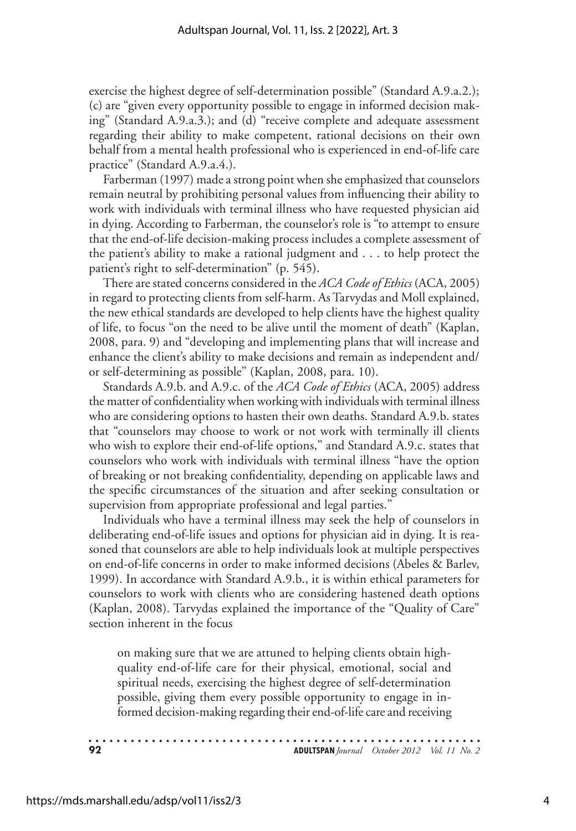exercise the highest degree of self-determination possible" (Standard A.9.a.2.); (c) are "given every opportunity possible to engage in informed decision making" (Standard A.9.a.3.); and (d) "receive complete and adequate assessment regarding their ability to make competent, rational decisions on their own behalf from a mental health professional who is experienced in end-of-life care practice" (Standard A.9.a.4.).

Farberman (1997) made a strong point when she emphasized that counselors remain neutral by prohibiting personal values from influencing their ability to work with individuals with terminal illness who have requested physician aid in dying. According to Farberman, the counselor's role is "to attempt to ensure that the end-of-life decision-making process includes a complete assessment of the patient's ability to make a rational judgment and . . . to help protect the patient's right to self-determination" (p. 545).

There are stated concerns considered in the *ACA Code of Ethics* (ACA, 2005) in regard to protecting clients from self-harm. As Tarvydas and Moll explained, the new ethical standards are developed to help clients have the highest quality of life, to focus "on the need to be alive until the moment of death" (Kaplan, 2008, para. 9) and "developing and implementing plans that will increase and enhance the client's ability to make decisions and remain as independent and/ or self-determining as possible" (Kaplan, 2008, para. 10).

Standards A.9.b. and A.9.c. of the *ACA Code of Ethics* (ACA, 2005) address the matter of confidentiality when working with individuals with terminal illness who are considering options to hasten their own deaths. Standard A.9.b. states that "counselors may choose to work or not work with terminally ill clients who wish to explore their end-of-life options," and Standard A.9.c. states that counselors who work with individuals with terminal illness "have the option of breaking or not breaking confidentiality, depending on applicable laws and the specific circumstances of the situation and after seeking consultation or supervision from appropriate professional and legal parties."

Individuals who have a terminal illness may seek the help of counselors in deliberating end-of-life issues and options for physician aid in dying. It is reasoned that counselors are able to help individuals look at multiple perspectives on end-of-life concerns in order to make informed decisions (Abeles & Barlev, 1999). In accordance with Standard A.9.b., it is within ethical parameters for counselors to work with clients who are considering hastened death options (Kaplan, 2008). Tarvydas explained the importance of the "Quality of Care" section inherent in the focus

on making sure that we are attuned to helping clients obtain highquality end-of-life care for their physical, emotional, social and spiritual needs, exercising the highest degree of self-determination possible, giving them every possible opportunity to engage in informed decision-making regarding their end-of-life care and receiving

**92 ADULTSPAN***Journal October 2012 Vol. 11 No. 2*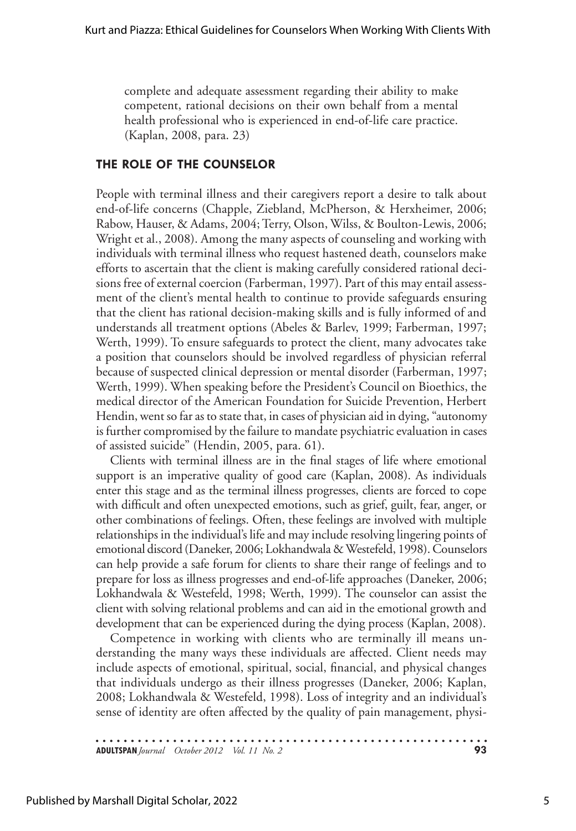complete and adequate assessment regarding their ability to make competent, rational decisions on their own behalf from a mental health professional who is experienced in end-of-life care practice. (Kaplan, 2008, para. 23)

#### **The Role of the Counselor**

People with terminal illness and their caregivers report a desire to talk about end-of-life concerns (Chapple, Ziebland, McPherson, & Herxheimer, 2006; Rabow, Hauser, & Adams, 2004; Terry, Olson, Wilss, & Boulton-Lewis, 2006; Wright et al., 2008). Among the many aspects of counseling and working with individuals with terminal illness who request hastened death, counselors make efforts to ascertain that the client is making carefully considered rational decisions free of external coercion (Farberman, 1997). Part of this may entail assessment of the client's mental health to continue to provide safeguards ensuring that the client has rational decision-making skills and is fully informed of and understands all treatment options (Abeles & Barlev, 1999; Farberman, 1997; Werth, 1999). To ensure safeguards to protect the client, many advocates take a position that counselors should be involved regardless of physician referral because of suspected clinical depression or mental disorder (Farberman, 1997; Werth, 1999). When speaking before the President's Council on Bioethics, the medical director of the American Foundation for Suicide Prevention, Herbert Hendin, went so far as to state that, in cases of physician aid in dying, "autonomy is further compromised by the failure to mandate psychiatric evaluation in cases of assisted suicide" (Hendin, 2005, para. 61).

Clients with terminal illness are in the final stages of life where emotional support is an imperative quality of good care (Kaplan, 2008). As individuals enter this stage and as the terminal illness progresses, clients are forced to cope with difficult and often unexpected emotions, such as grief, guilt, fear, anger, or other combinations of feelings. Often, these feelings are involved with multiple relationships in the individual's life and may include resolving lingering points of emotional discord (Daneker, 2006; Lokhandwala & Westefeld, 1998). Counselors can help provide a safe forum for clients to share their range of feelings and to prepare for loss as illness progresses and end-of-life approaches (Daneker, 2006; Lokhandwala & Westefeld, 1998; Werth, 1999). The counselor can assist the client with solving relational problems and can aid in the emotional growth and development that can be experienced during the dying process (Kaplan, 2008).

Competence in working with clients who are terminally ill means understanding the many ways these individuals are affected. Client needs may include aspects of emotional, spiritual, social, financial, and physical changes that individuals undergo as their illness progresses (Daneker, 2006; Kaplan, 2008; Lokhandwala & Westefeld, 1998). Loss of integrity and an individual's sense of identity are often affected by the quality of pain management, physi-

**ADULTSPAN***Journal October 2012 Vol. 11 No. 2* **93**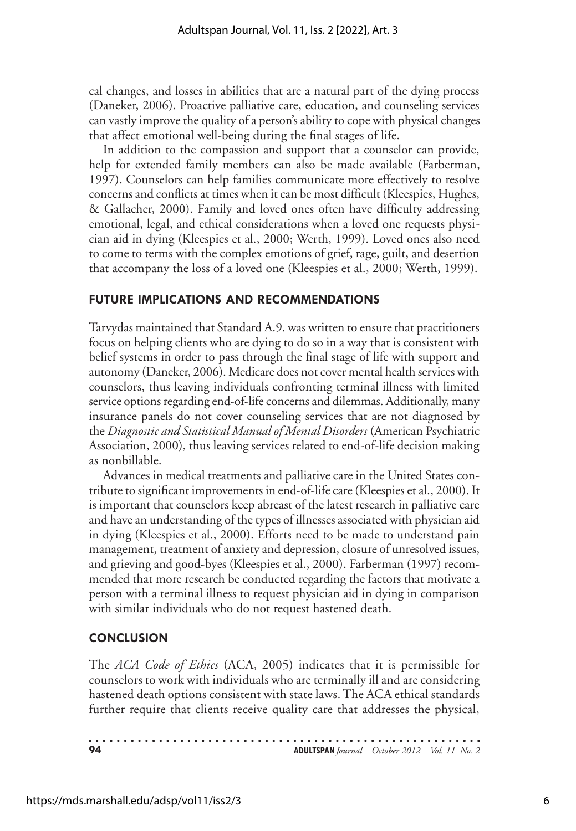cal changes, and losses in abilities that are a natural part of the dying process (Daneker, 2006). Proactive palliative care, education, and counseling services can vastly improve the quality of a person's ability to cope with physical changes that affect emotional well-being during the final stages of life.

In addition to the compassion and support that a counselor can provide, help for extended family members can also be made available (Farberman, 1997). Counselors can help families communicate more effectively to resolve concerns and conflicts at times when it can be most difficult (Kleespies, Hughes, & Gallacher, 2000). Family and loved ones often have difficulty addressing emotional, legal, and ethical considerations when a loved one requests physician aid in dying (Kleespies et al., 2000; Werth, 1999). Loved ones also need to come to terms with the complex emotions of grief, rage, guilt, and desertion that accompany the loss of a loved one (Kleespies et al., 2000; Werth, 1999).

#### **Future Implications and Recommendations**

Tarvydas maintained that Standard A.9. was written to ensure that practitioners focus on helping clients who are dying to do so in a way that is consistent with belief systems in order to pass through the final stage of life with support and autonomy (Daneker, 2006). Medicare does not cover mental health services with counselors, thus leaving individuals confronting terminal illness with limited service options regarding end-of-life concerns and dilemmas. Additionally, many insurance panels do not cover counseling services that are not diagnosed by the *Diagnostic and Statistical Manual of Mental Disorders* (American Psychiatric Association, 2000), thus leaving services related to end-of-life decision making as nonbillable.

Advances in medical treatments and palliative care in the United States contribute to significant improvements in end-of-life care (Kleespies et al., 2000). It is important that counselors keep abreast of the latest research in palliative care and have an understanding of the types of illnesses associated with physician aid in dying (Kleespies et al., 2000). Efforts need to be made to understand pain management, treatment of anxiety and depression, closure of unresolved issues, and grieving and good-byes (Kleespies et al., 2000). Farberman (1997) recommended that more research be conducted regarding the factors that motivate a person with a terminal illness to request physician aid in dying in comparison with similar individuals who do not request hastened death.

#### **Conclusion**

The *ACA Code of Ethics* (ACA, 2005) indicates that it is permissible for counselors to work with individuals who are terminally ill and are considering hastened death options consistent with state laws. The ACA ethical standards further require that clients receive quality care that addresses the physical,

**94 ADULTSPAN***Journal October 2012 Vol. 11 No. 2*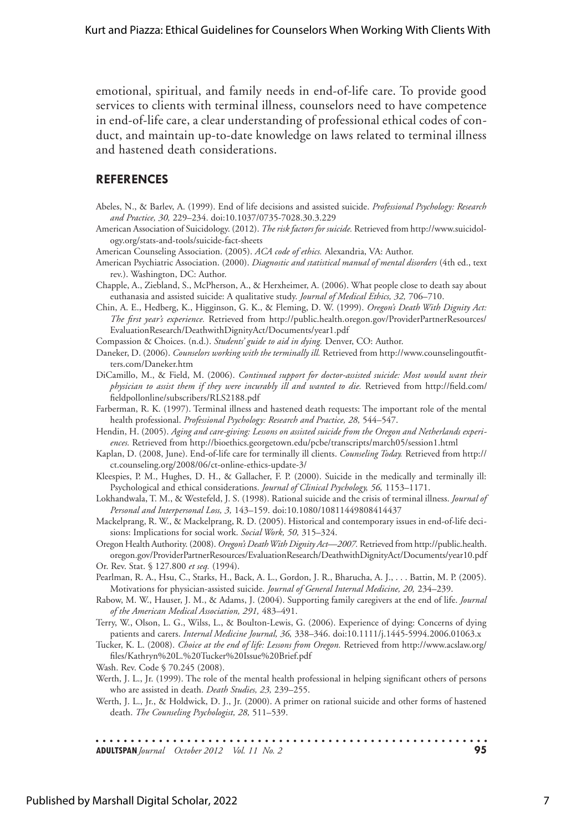emotional, spiritual, and family needs in end-of-life care. To provide good services to clients with terminal illness, counselors need to have competence in end-of-life care, a clear understanding of professional ethical codes of conduct, and maintain up-to-date knowledge on laws related to terminal illness and hastened death considerations.

#### **References**

- Abeles, N., & Barlev, A. (1999). End of life decisions and assisted suicide. *Professional Psychology: Research and Practice, 30,* 229–234. doi:10.1037/0735-7028.30.3.229
- American Association of Suicidology. (2012). *The risk factors for suicide.* Retrieved from http://www.suicidology.org/stats-and-tools/suicide-fact-sheets

American Counseling Association. (2005). *ACA code of ethics.* Alexandria, VA: Author.

- American Psychiatric Association. (2000). *Diagnostic and statistical manual of mental disorders* (4th ed., text rev.). Washington, DC: Author.
- Chapple, A., Ziebland, S., McPherson, A., & Herxheimer, A. (2006). What people close to death say about euthanasia and assisted suicide: A qualitative study. *Journal of Medical Ethics, 32,* 706–710.
- Chin, A. E., Hedberg, K., Higginson, G. K., & Fleming, D. W. (1999). *Oregon's Death With Dignity Act: The first year's experience.* Retrieved from http://public.health.oregon.gov/ProviderPartnerResources/ EvaluationResearch/DeathwithDignityAct/Documents/year1.pdf

Compassion & Choices. (n.d.). *Students' guide to aid in dying.* Denver, CO: Author.

- Daneker, D. (2006). *Counselors working with the terminally ill.* Retrieved from http://www.counselingoutfitters.com/Daneker.htm
- DiCamillo, M., & Field, M. (2006). *Continued support for doctor-assisted suicide: Most would want their physician to assist them if they were incurably ill and wanted to die.* Retrieved from http://field.com/ fieldpollonline/subscribers/RLS2188.pdf
- Farberman, R. K. (1997). Terminal illness and hastened death requests: The important role of the mental health professional. *Professional Psychology: Research and Practice*, 28, 544–547.
- Hendin, H. (2005). *Aging and care-giving: Lessons on assisted suicide from the Oregon and Netherlands experiences.* Retrieved from http://bioethics.georgetown.edu/pcbe/transcripts/march05/session1.html
- Kaplan, D. (2008, June). End-of-life care for terminally ill clients. *Counseling Today.* Retrieved from http:// ct.counseling.org/2008/06/ct-online-ethics-update-3/
- Kleespies, P. M., Hughes, D. H., & Gallacher, F. P. (2000). Suicide in the medically and terminally ill: Psychological and ethical considerations. *Journal of Clinical Psychology, 56,* 1153–1171.
- Lokhandwala, T. M., & Westefeld, J. S. (1998). Rational suicide and the crisis of terminal illness. *Journal of Personal and Interpersonal Loss, 3,* 143–159. doi:10.1080/10811449808414437
- Mackelprang, R. W., & Mackelprang, R. D. (2005). Historical and contemporary issues in end-of-life decisions: Implications for social work. *Social Work, 50,* 315–324.

Oregon Health Authority. (2008). *Oregon's Death With Dignity Act—2007.* Retrieved from http://public.health. oregon.gov/ProviderPartnerResources/EvaluationResearch/DeathwithDignityAct/Documents/year10.pdf Or. Rev. Stat. § 127.800 *et seq.* (1994).

Pearlman, R. A., Hsu, C., Starks, H., Back, A. L., Gordon, J. R., Bharucha, A. J., . . . Battin, M. P. (2005). Motivations for physician-assisted suicide. *Journal of General Internal Medicine, 20,* 234–239.

Rabow, M. W., Hauser, J. M., & Adams, J. (2004). Supporting family caregivers at the end of life. *Journal of the American Medical Association, 291,* 483–491.

- Terry, W., Olson, L. G., Wilss, L., & Boulton-Lewis, G. (2006). Experience of dying: Concerns of dying patients and carers. *Internal Medicine Journal, 36,* 338–346. doi:10.1111/j.1445-5994.2006.01063.x
- Tucker, K. L. (2008). *Choice at the end of life: Lessons from Oregon.* Retrieved from http://www.acslaw.org/ files/Kathryn%20L.%20Tucker%20Issue%20Brief.pdf
- Wash. Rev. Code § 70.245 (2008).
- Werth, J. L., Jr. (1999). The role of the mental health professional in helping significant others of persons who are assisted in death. *Death Studies, 23,* 239–255.
- Werth, J. L., Jr., & Holdwick, D. J., Jr. (2000). A primer on rational suicide and other forms of hastened death. *The Counseling Psychologist, 28,* 511–539.

**ADULTSPAN***Journal October 2012 Vol. 11 No. 2* **95**